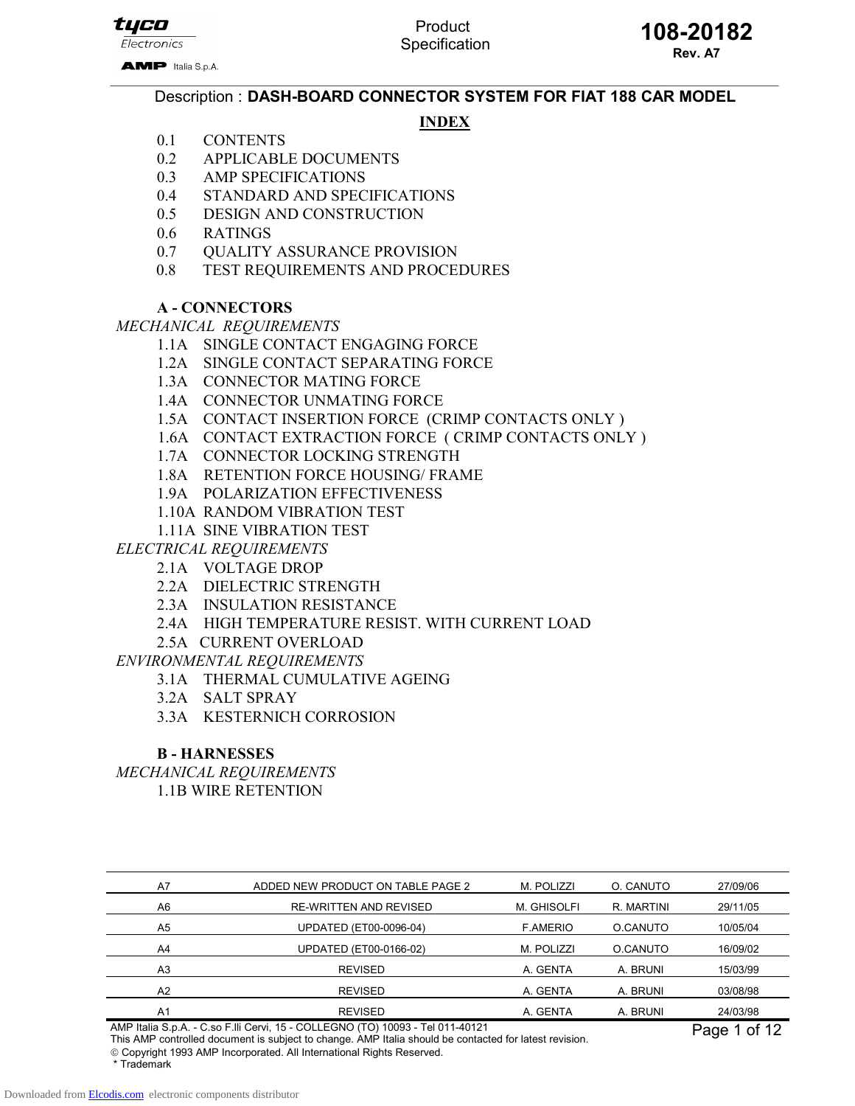tyco Electronics

AMP Italia S.p.A.

# Product

 $\_$  , and the state of the state of the state of the state of the state of the state of the state of the state of the state of the state of the state of the state of the state of the state of the state of the state of the Description : DASH-BOARD CONNECTOR SYSTEM FOR FIAT 188 CAR MODEL

### **INDEX**

- 0.1 CONTENTS
- 0.2 APPLICABLE DOCUMENTS
- 0.3 AMP SPECIFICATIONS
- 0.4 STANDARD AND SPECIFICATIONS
- 0.5 DESIGN AND CONSTRUCTION
- 0.6 RATINGS
- 0.7 OUALITY ASSURANCE PROVISION
- 0.8 TEST REQUIREMENTS AND PROCEDURES

#### A - CONNECTORS

MECHANICAL REQUIREMENTS

- 1.1A SINGLE CONTACT ENGAGING FORCE
- 1.2A SINGLE CONTACT SEPARATING FORCE
- 1.3A CONNECTOR MATING FORCE
- 1.4A CONNECTOR UNMATING FORCE
- 1.5A CONTACT INSERTION FORCE (CRIMP CONTACTS ONLY )
- 1.6A CONTACT EXTRACTION FORCE ( CRIMP CONTACTS ONLY )
- 1.7A CONNECTOR LOCKING STRENGTH
- 1.8A RETENTION FORCE HOUSING/ FRAME
- 1.9A POLARIZATION EFFECTIVENESS
- 1.10A RANDOM VIBRATION TEST
- 1.11A SINE VIBRATION TEST
- ELECTRICAL REQUIREMENTS
	- 2.1A VOLTAGE DROP
		- 2.2A DIELECTRIC STRENGTH
		- 2.3A INSULATION RESISTANCE
		- 2.4A HIGH TEMPERATURE RESIST. WITH CURRENT LOAD
		- 2.5A CURRENT OVERLOAD

ENVIRONMENTAL REQUIREMENTS

- 3.1A THERMAL CUMULATIVE AGEING
- 3.2A SALT SPRAY
- 3.3A KESTERNICH CORROSION

#### B - HARNESSES

MECHANICAL REQUIREMENTS 1.1B WIRE RETENTION

| A7             | ADDED NEW PRODUCT ON TABLE PAGE 2 | M. POLIZZI      | O. CANUTO  | 27/09/06 |
|----------------|-----------------------------------|-----------------|------------|----------|
| A <sub>6</sub> | <b>RE-WRITTEN AND REVISED</b>     | M. GHISOLFI     | R. MARTINI | 29/11/05 |
| A <sub>5</sub> | UPDATED (ET00-0096-04)            | <b>F.AMERIO</b> | O.CANUTO   | 10/05/04 |
| A <sub>4</sub> | UPDATED (ET00-0166-02)            | M. POLIZZI      | O.CANUTO   | 16/09/02 |
| A <sub>3</sub> | <b>REVISED</b>                    | A. GENTA        | A. BRUNI   | 15/03/99 |
| A <sub>2</sub> | <b>REVISED</b>                    | A. GENTA        | A. BRUNI   | 03/08/98 |
| A <sub>1</sub> | <b>REVISED</b>                    | A. GENTA        | A. BRUNI   | 24/03/98 |

AMP Italia S.p.A. - C.so F.lli Cervi, 15 - COLLEGNO (TO) 10093 - Tel 011-40121

This AMP controlled document is subject to change. AMP Italia should be contacted for latest revision.

Page 1 of 12

Copyright 1993 AMP Incorporated. All International Rights Reserved.

\* Trademark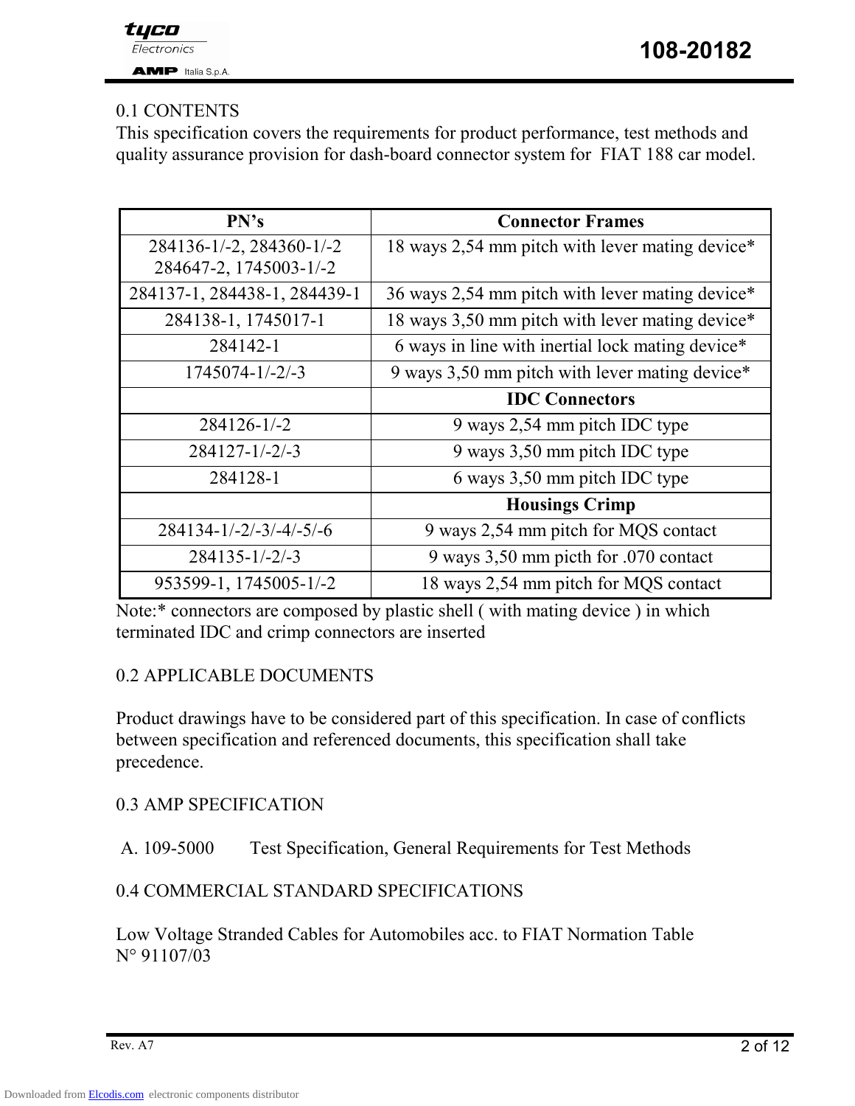### 0.1 CONTENTS

This specification covers the requirements for product performance, test methods and quality assurance provision for dash-board connector system for FIAT 188 car model.

| PN's                         | <b>Connector Frames</b>                          |
|------------------------------|--------------------------------------------------|
| 284136-1/-2, 284360-1/-2     | 18 ways 2,54 mm pitch with lever mating device*  |
| 284647-2, 1745003-1/-2       |                                                  |
| 284137-1, 284438-1, 284439-1 | 36 ways 2,54 mm pitch with lever mating device*  |
| 284138-1, 1745017-1          | 18 ways 3,50 mm pitch with lever mating device*  |
| 284142-1                     | 6 ways in line with inertial lock mating device* |
| $1745074 - 1/-2/-3$          | 9 ways 3,50 mm pitch with lever mating device*   |
|                              | <b>IDC</b> Connectors                            |
| 284126-1/-2                  | 9 ways 2,54 mm pitch IDC type                    |
| $284127 - 1/-2/-3$           | 9 ways 3,50 mm pitch IDC type                    |
| 284128-1                     | 6 ways 3,50 mm pitch IDC type                    |
|                              | <b>Housings Crimp</b>                            |
| $284134 - 1/-2/-3/-4/-5/-6$  | 9 ways 2,54 mm pitch for MQS contact             |
| $284135 - 1/-2/-3$           | 9 ways 3,50 mm picth for .070 contact            |
| 953599-1, 1745005-1/-2       | 18 ways 2,54 mm pitch for MQS contact            |

Note:\* connectors are composed by plastic shell ( with mating device ) in which terminated IDC and crimp connectors are inserted

### 0.2 APPLICABLE DOCUMENTS

Product drawings have to be considered part of this specification. In case of conflicts between specification and referenced documents, this specification shall take precedence.

0.3 AMP SPECIFICATION

A. 109-5000 Test Specification, General Requirements for Test Methods

### 0.4 COMMERCIAL STANDARD SPECIFICATIONS

Low Voltage Stranded Cables for Automobiles acc. to FIAT Normation Table N° 91107/03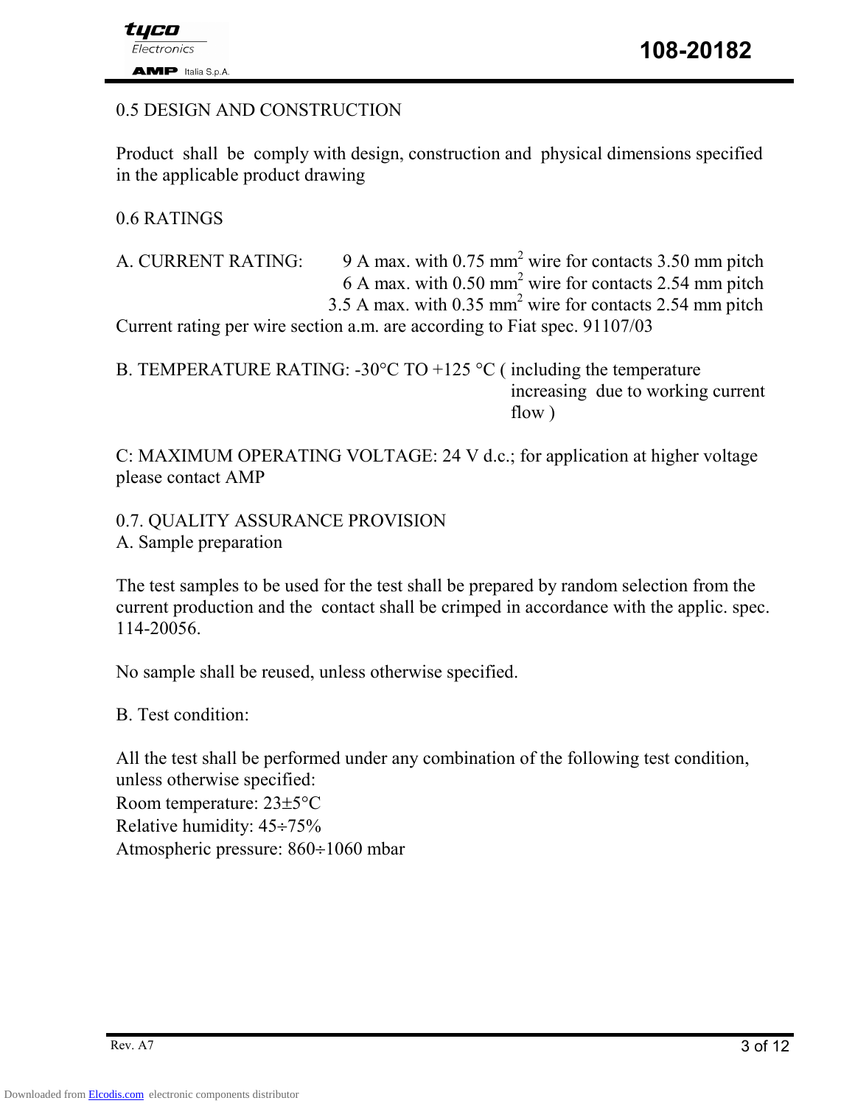### 0.5 DESIGN AND CONSTRUCTION

Product shall be comply with design, construction and physical dimensions specified in the applicable product drawing

0.6 RATINGS

A. CURRENT RATING: 9 A max. with 0.75 mm<sup>2</sup> wire for contacts 3.50 mm pitch 6 A max. with  $0.50$  mm<sup>2</sup> wire for contacts 2.54 mm pitch 3.5 A max. with  $0.35$  mm<sup>2</sup> wire for contacts 2.54 mm pitch

Current rating per wire section a.m. are according to Fiat spec. 91107/03

B. TEMPERATURE RATING:  $-30^{\circ}\text{C}$  TO  $+125^{\circ}\text{C}$  (including the temperature increasing due to working current flow )

C: MAXIMUM OPERATING VOLTAGE: 24 V d.c.; for application at higher voltage please contact AMP

0.7. QUALITY ASSURANCE PROVISION

A. Sample preparation

The test samples to be used for the test shall be prepared by random selection from the current production and the contact shall be crimped in accordance with the applic. spec. 114-20056.

No sample shall be reused, unless otherwise specified.

B. Test condition:

All the test shall be performed under any combination of the following test condition, unless otherwise specified: Room temperature: 23±5°C Relative humidity: 45÷75% Atmospheric pressure: 860÷1060 mbar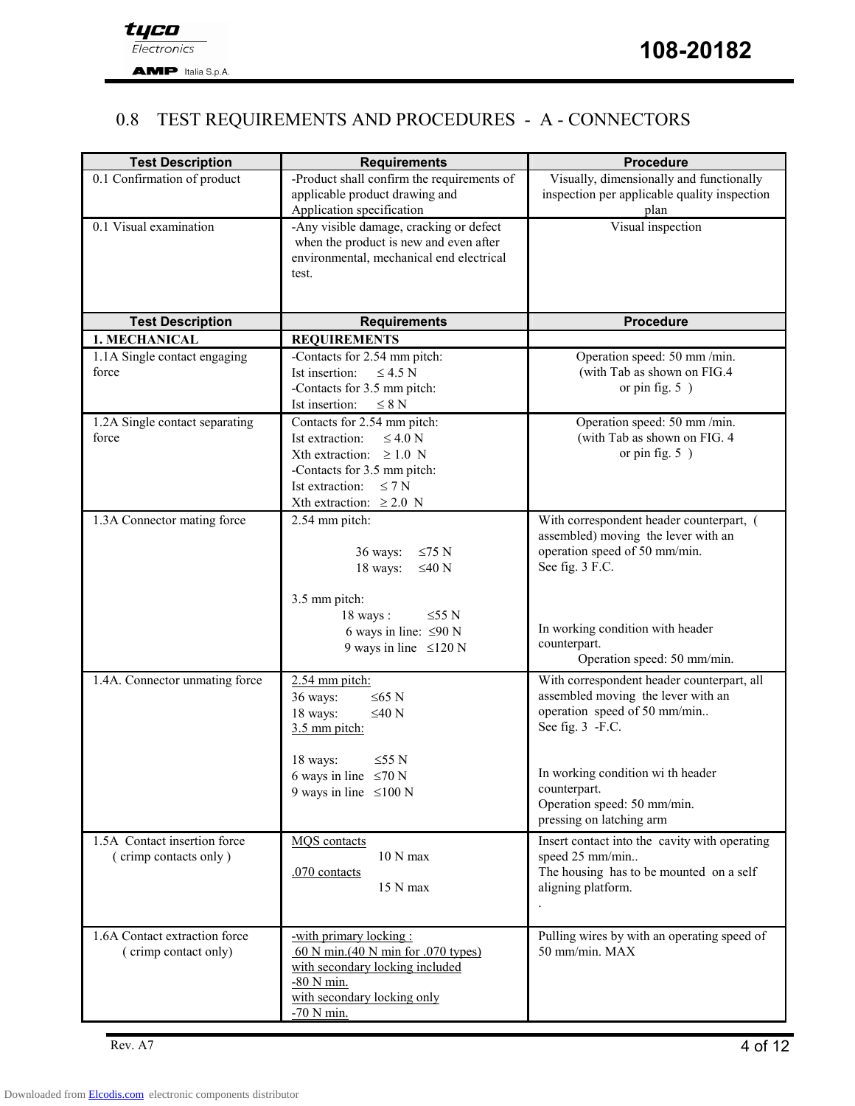### 0.8 TEST REQUIREMENTS AND PROCEDURES - A - CONNECTORS

| <b>Test Description</b>        | <b>Requirements</b>                                             | <b>Procedure</b>                                                   |  |  |  |  |
|--------------------------------|-----------------------------------------------------------------|--------------------------------------------------------------------|--|--|--|--|
| 0.1 Confirmation of product    | -Product shall confirm the requirements of                      | Visually, dimensionally and functionally                           |  |  |  |  |
|                                | applicable product drawing and<br>Application specification     | inspection per applicable quality inspection<br>plan               |  |  |  |  |
| 0.1 Visual examination         | -Any visible damage, cracking or defect                         | Visual inspection                                                  |  |  |  |  |
|                                | when the product is new and even after                          |                                                                    |  |  |  |  |
|                                | environmental, mechanical end electrical                        |                                                                    |  |  |  |  |
|                                | test.                                                           |                                                                    |  |  |  |  |
|                                |                                                                 |                                                                    |  |  |  |  |
| <b>Test Description</b>        | <b>Requirements</b>                                             | <b>Procedure</b>                                                   |  |  |  |  |
| 1. MECHANICAL                  | <b>REQUIREMENTS</b>                                             |                                                                    |  |  |  |  |
| 1.1A Single contact engaging   | -Contacts for 2.54 mm pitch:                                    | Operation speed: 50 mm /min.                                       |  |  |  |  |
| force                          | Ist insertion:<br>$\leq 4.5$ N                                  | (with Tab as shown on FIG.4                                        |  |  |  |  |
|                                | -Contacts for 3.5 mm pitch:                                     | or pin fig. $5$ )                                                  |  |  |  |  |
|                                | Ist insertion:<br>$\leq 8$ N                                    |                                                                    |  |  |  |  |
| 1.2A Single contact separating | Contacts for 2.54 mm pitch:                                     | Operation speed: 50 mm /min.                                       |  |  |  |  |
| force                          | $\leq 4.0 N$<br>Ist extraction:<br>Xth extraction: $\geq 1.0$ N | (with Tab as shown on FIG. 4<br>or pin fig. $5$ )                  |  |  |  |  |
|                                | -Contacts for 3.5 mm pitch:                                     |                                                                    |  |  |  |  |
|                                | Ist extraction:<br>$\leq 7$ N                                   |                                                                    |  |  |  |  |
|                                | Xth extraction: $\geq 2.0$ N                                    |                                                                    |  |  |  |  |
| 1.3A Connector mating force    | 2.54 mm pitch:                                                  | With correspondent header counterpart, (                           |  |  |  |  |
|                                |                                                                 | assembled) moving the lever with an                                |  |  |  |  |
|                                | 36 ways:<br>$≤75 N$                                             | operation speed of 50 mm/min.                                      |  |  |  |  |
|                                | 18 ways:<br>$\leq 40$ N                                         | See fig. 3 F.C.                                                    |  |  |  |  |
|                                | 3.5 mm pitch:                                                   |                                                                    |  |  |  |  |
|                                | $18$ ways:<br>$\leq$ 55 N                                       |                                                                    |  |  |  |  |
|                                | 6 ways in line: $\leq 90$ N                                     | In working condition with header                                   |  |  |  |  |
|                                | 9 ways in line $\leq 120$ N                                     | counterpart.                                                       |  |  |  |  |
|                                |                                                                 | Operation speed: 50 mm/min.                                        |  |  |  |  |
| 1.4A. Connector unmating force | 2.54 mm pitch:                                                  | With correspondent header counterpart, all                         |  |  |  |  |
|                                | 36 ways:<br>$\leq 65$ N                                         | assembled moving the lever with an<br>operation speed of 50 mm/min |  |  |  |  |
|                                | 18 ways:<br>$≤40 N$<br>3.5 mm pitch:                            | See fig. 3 -F.C.                                                   |  |  |  |  |
|                                |                                                                 |                                                                    |  |  |  |  |
|                                | 18 ways:<br>$\leq$ 55 N                                         |                                                                    |  |  |  |  |
|                                | 6 ways in line $\leq 70$ N                                      | In working condition wi th header                                  |  |  |  |  |
|                                | 9 ways in line $\leq 100$ N                                     | counterpart.<br>Operation speed: 50 mm/min.                        |  |  |  |  |
|                                |                                                                 | pressing on latching arm                                           |  |  |  |  |
| 1.5A Contact insertion force   | <b>MQS</b> contacts                                             | Insert contact into the cavity with operating                      |  |  |  |  |
| (crimp contacts only)          | $10 N$ max                                                      | speed 25 mm/min                                                    |  |  |  |  |
|                                | .070 contacts                                                   | The housing has to be mounted on a self                            |  |  |  |  |
|                                | 15 N max                                                        | aligning platform.                                                 |  |  |  |  |
|                                |                                                                 |                                                                    |  |  |  |  |
| 1.6A Contact extraction force  | -with primary locking:                                          | Pulling wires by with an operating speed of                        |  |  |  |  |
| (crimp contact only)           | 60 N min. $(40 N$ min for .070 types)                           | 50 mm/min. MAX                                                     |  |  |  |  |
|                                | with secondary locking included                                 |                                                                    |  |  |  |  |
|                                | -80 N min.                                                      |                                                                    |  |  |  |  |
|                                | with secondary locking only                                     |                                                                    |  |  |  |  |
|                                | $-70$ N min.                                                    |                                                                    |  |  |  |  |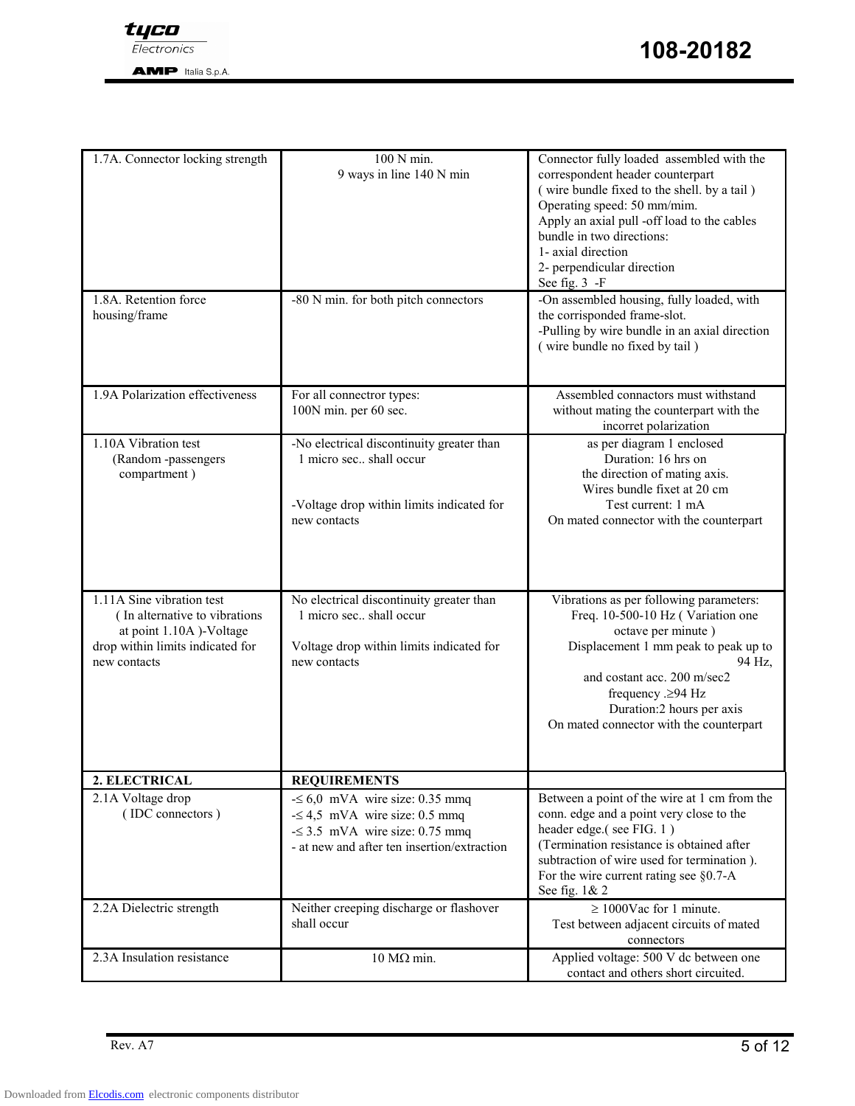

**AMP** Italia S.p.A.

| 1.7A. Connector locking strength                                                                                                          | 100 N min.<br>9 ways in line 140 N min                                                                                                                     | Connector fully loaded assembled with the<br>correspondent header counterpart<br>(wire bundle fixed to the shell. by a tail)<br>Operating speed: 50 mm/mim.<br>Apply an axial pull -off load to the cables<br>bundle in two directions:<br>1- axial direction<br>2- perpendicular direction<br>See fig. 3 -F |
|-------------------------------------------------------------------------------------------------------------------------------------------|------------------------------------------------------------------------------------------------------------------------------------------------------------|--------------------------------------------------------------------------------------------------------------------------------------------------------------------------------------------------------------------------------------------------------------------------------------------------------------|
| 1.8A. Retention force<br>housing/frame                                                                                                    | -80 N min. for both pitch connectors                                                                                                                       | -On assembled housing, fully loaded, with<br>the corrisponded frame-slot.<br>-Pulling by wire bundle in an axial direction<br>(wire bundle no fixed by tail)                                                                                                                                                 |
| 1.9A Polarization effectiveness                                                                                                           | For all connectror types:<br>100N min. per 60 sec.                                                                                                         | Assembled connactors must withstand<br>without mating the counterpart with the<br>incorret polarization                                                                                                                                                                                                      |
| 1.10A Vibration test<br>(Random -passengers<br>compartment)                                                                               | -No electrical discontinuity greater than<br>1 micro sec., shall occur<br>-Voltage drop within limits indicated for<br>new contacts                        | as per diagram 1 enclosed<br>Duration: 16 hrs on<br>the direction of mating axis.<br>Wires bundle fixet at 20 cm<br>Test current: 1 mA<br>On mated connector with the counterpart                                                                                                                            |
| 1.11A Sine vibration test<br>(In alternative to vibrations<br>at point 1.10A)-Voltage<br>drop within limits indicated for<br>new contacts | No electrical discontinuity greater than<br>1 micro sec., shall occur<br>Voltage drop within limits indicated for<br>new contacts                          | Vibrations as per following parameters:<br>Freq. 10-500-10 Hz (Variation one<br>octave per minute)<br>Displacement 1 mm peak to peak up to<br>94 Hz,<br>and costant acc. 200 m/sec2<br>frequency $\geq$ 94 Hz<br>Duration:2 hours per axis<br>On mated connector with the counterpart                        |
| 2. ELECTRICAL                                                                                                                             | <b>REQUIREMENTS</b>                                                                                                                                        |                                                                                                                                                                                                                                                                                                              |
| 2.1A Voltage drop<br>(IDC connectors)                                                                                                     | $\leq 6.0$ mVA wire size: 0.35 mmq<br>$-5$ 4,5 mVA wire size: 0.5 mmq<br>$\leq$ 3.5 mVA wire size: 0.75 mmq<br>- at new and after ten insertion/extraction | Between a point of the wire at 1 cm from the<br>conn. edge and a point very close to the<br>header edge.(see FIG. 1)<br>(Termination resistance is obtained after<br>subtraction of wire used for termination).<br>For the wire current rating see $\S 0.7-A$<br>See fig. 1& 2                               |
| 2.2A Dielectric strength                                                                                                                  | Neither creeping discharge or flashover<br>shall occur                                                                                                     | $\geq 1000$ Vac for 1 minute.<br>Test between adjacent circuits of mated<br>connectors                                                                                                                                                                                                                       |
| 2.3A Insulation resistance                                                                                                                | 10 Μ $Ω$ min.                                                                                                                                              | Applied voltage: 500 V dc between one<br>contact and others short circuited.                                                                                                                                                                                                                                 |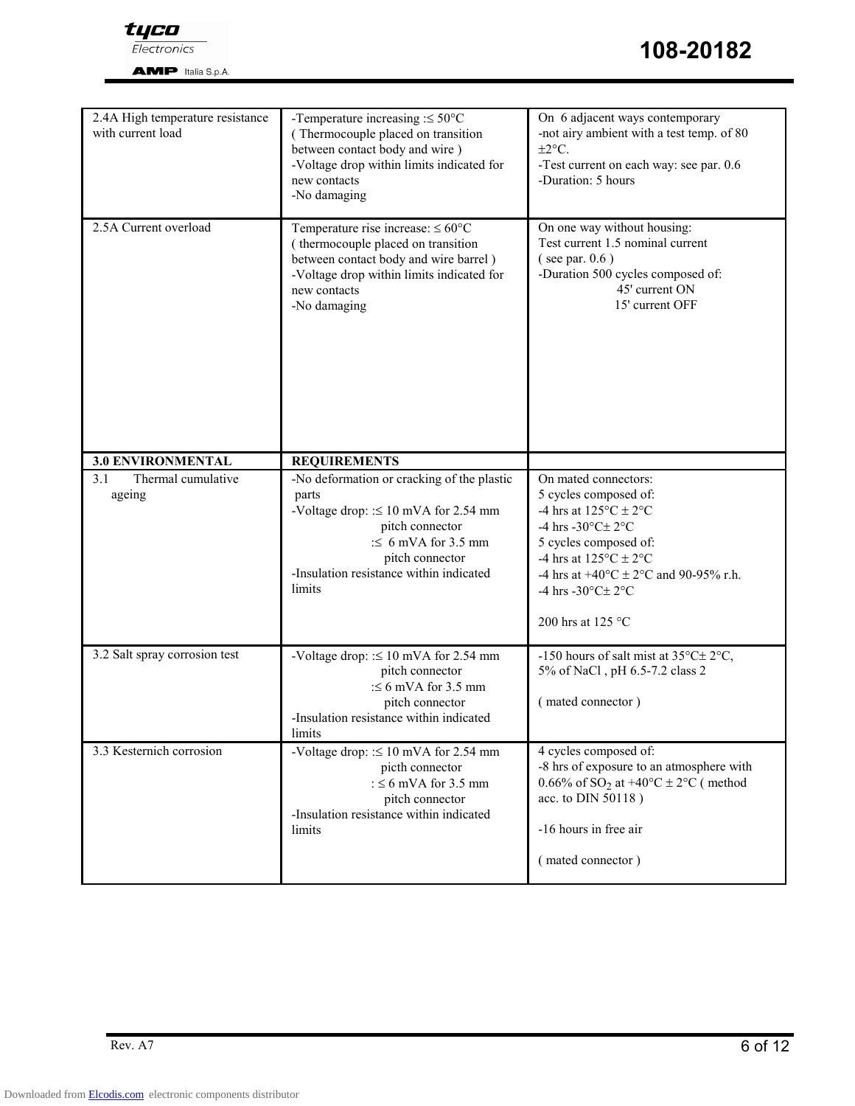

Electronics

**AMP** Italia S.p.A.

| 2.4A High temperature resistance<br>with current load | -Temperature increasing $\approx$ 50°C<br>(Thermocouple placed on transition<br>between contact body and wire)<br>-Voltage drop within limits indicated for<br>new contacts<br>-No damaging                           | On 6 adjacent ways contemporary<br>-not airy ambient with a test temp. of 80<br>$\pm 2^{\circ}$ C.<br>-Test current on each way: see par. 0.6<br>-Duration: 5 hours                                                                                                                      |  |  |  |  |
|-------------------------------------------------------|-----------------------------------------------------------------------------------------------------------------------------------------------------------------------------------------------------------------------|------------------------------------------------------------------------------------------------------------------------------------------------------------------------------------------------------------------------------------------------------------------------------------------|--|--|--|--|
| 2.5A Current overload                                 | Temperature rise increase: $\leq 60^{\circ}$ C<br>(thermocouple placed on transition<br>between contact body and wire barrel)<br>-Voltage drop within limits indicated for<br>new contacts<br>-No damaging            | On one way without housing:<br>Test current 1.5 nominal current<br>$($ see par. $0.6)$<br>-Duration 500 cycles composed of:<br>45' current ON<br>15' current OFF                                                                                                                         |  |  |  |  |
| <b>3.0 ENVIRONMENTAL</b>                              | <b>REQUIREMENTS</b>                                                                                                                                                                                                   |                                                                                                                                                                                                                                                                                          |  |  |  |  |
| Thermal cumulative<br>3.1<br>ageing                   | -No deformation or cracking of the plastic<br>parts<br>-Voltage drop: $\leq 10$ mVA for 2.54 mm<br>pitch connector<br>$\leq$ 6 mVA for 3.5 mm<br>pitch connector<br>-Insulation resistance within indicated<br>limits | On mated connectors:<br>5 cycles composed of:<br>-4 hrs at $125^{\circ}$ C ± 2°C<br>-4 hrs -30°C± 2°C<br>5 cycles composed of:<br>-4 hrs at $125^{\circ}$ C $\pm$ 2°C<br>-4 hrs at +40 $^{\circ}$ C ± 2 $^{\circ}$ C and 90-95% r.h.<br>-4 hrs -30°C± 2°C<br>200 hrs at 125 $^{\circ}$ C |  |  |  |  |
| 3.2 Salt spray corrosion test                         | -Voltage drop: $\leq 10$ mVA for 2.54 mm<br>pitch connector<br>: $\leq 6$ mVA for 3.5 mm<br>pitch connector<br>-Insulation resistance within indicated<br>limits                                                      | -150 hours of salt mist at $35^{\circ}$ C $\pm$ 2°C,<br>5% of NaCl, pH 6.5-7.2 class 2<br>(mated connector)                                                                                                                                                                              |  |  |  |  |
| 3.3 Kesternich corrosion                              | -Voltage drop: $\leq 10$ mVA for 2.54 mm<br>picth connector<br>: $\leq 6$ mVA for 3.5 mm<br>pitch connector<br>-Insulation resistance within indicated<br>limits                                                      | 4 cycles composed of:<br>-8 hrs of exposure to an atmosphere with<br>0.66% of SO <sub>2</sub> at +40°C $\pm$ 2°C (method<br>acc. to DIN 50118)<br>-16 hours in free air<br>(mated connector)                                                                                             |  |  |  |  |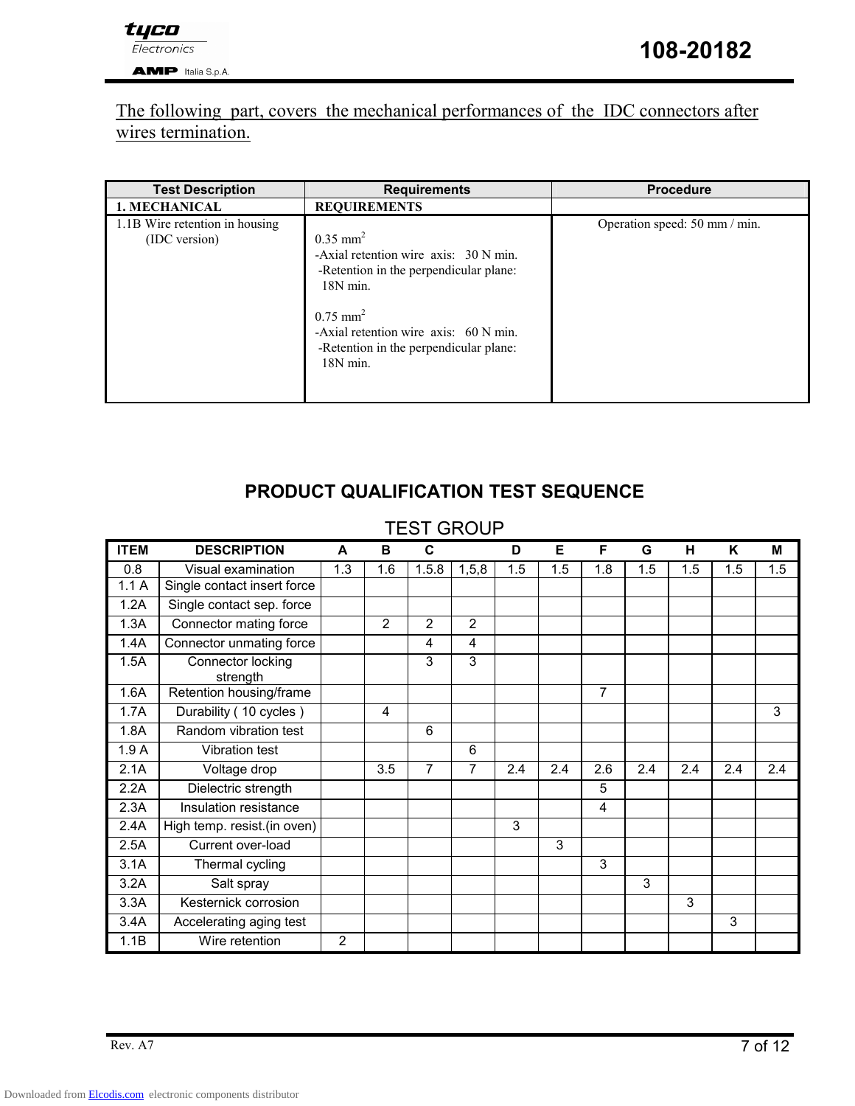### The following part, covers the mechanical performances of the IDC connectors after wires termination.

| <b>Test Description</b>                         | <b>Requirements</b>                                                                                                                                                                                                                                | <b>Procedure</b>              |
|-------------------------------------------------|----------------------------------------------------------------------------------------------------------------------------------------------------------------------------------------------------------------------------------------------------|-------------------------------|
| <b>1. MECHANICAL</b>                            | <b>REQUIREMENTS</b>                                                                                                                                                                                                                                |                               |
| 1.1B Wire retention in housing<br>(IDC version) | $0.35$ mm <sup>2</sup><br>-Axial retention wire axis: 30 N min.<br>-Retention in the perpendicular plane:<br>$18N$ min.<br>$0.75$ mm <sup>2</sup><br>-Axial retention wire axis: 60 N min.<br>-Retention in the perpendicular plane:<br>$18N$ min. | Operation speed: 50 mm / min. |

### PRODUCT QUALIFICATION TEST SEQUENCE

### TEST GROUP

| <b>ITEM</b> | <b>DESCRIPTION</b>            | A   | в              | C              |                | D   | Е   | F.             | G   | н   | K   | М   |
|-------------|-------------------------------|-----|----------------|----------------|----------------|-----|-----|----------------|-----|-----|-----|-----|
| 0.8         | Visual examination            | 1.3 | 1.6            | 1.5.8          | 1, 5, 8        | 1.5 | 1.5 | 1.8            | 1.5 | 1.5 | 1.5 | 1.5 |
| 1.1A        | Single contact insert force   |     |                |                |                |     |     |                |     |     |     |     |
| 1.2A        | Single contact sep. force     |     |                |                |                |     |     |                |     |     |     |     |
| 1.3A        | Connector mating force        |     | $\overline{2}$ | $\overline{2}$ | $\overline{2}$ |     |     |                |     |     |     |     |
| 1.4A        | Connector unmating force      |     |                | 4              | 4              |     |     |                |     |     |     |     |
| 1.5A        | Connector locking<br>strength |     |                | 3              | 3              |     |     |                |     |     |     |     |
| 1.6A        | Retention housing/frame       |     |                |                |                |     |     | $\overline{7}$ |     |     |     |     |
| 1.7A        | Durability (10 cycles)        |     | 4              |                |                |     |     |                |     |     |     | 3   |
| 1.8A        | Random vibration test         |     |                | 6              |                |     |     |                |     |     |     |     |
| 1.9A        | Vibration test                |     |                |                | 6              |     |     |                |     |     |     |     |
| 2.1A        | Voltage drop                  |     | 3.5            | $\overline{7}$ | 7              | 2.4 | 2.4 | 2.6            | 2.4 | 2.4 | 2.4 | 2.4 |
| 2.2A        | Dielectric strength           |     |                |                |                |     |     | 5              |     |     |     |     |
| 2.3A        | Insulation resistance         |     |                |                |                |     |     | 4              |     |     |     |     |
| 2.4A        | High temp. resist.(in oven)   |     |                |                |                | 3   |     |                |     |     |     |     |
| 2.5A        | Current over-load             |     |                |                |                |     | 3   |                |     |     |     |     |
| 3.1A        | Thermal cycling               |     |                |                |                |     |     | 3              |     |     |     |     |
| 3.2A        | Salt spray                    |     |                |                |                |     |     |                | 3   |     |     |     |
| 3.3A        | Kesternick corrosion          |     |                |                |                |     |     |                |     | 3   |     |     |
| 3.4A        | Accelerating aging test       |     |                |                |                |     |     |                |     |     | 3   |     |
| 1.1B        | Wire retention                | 2   |                |                |                |     |     |                |     |     |     |     |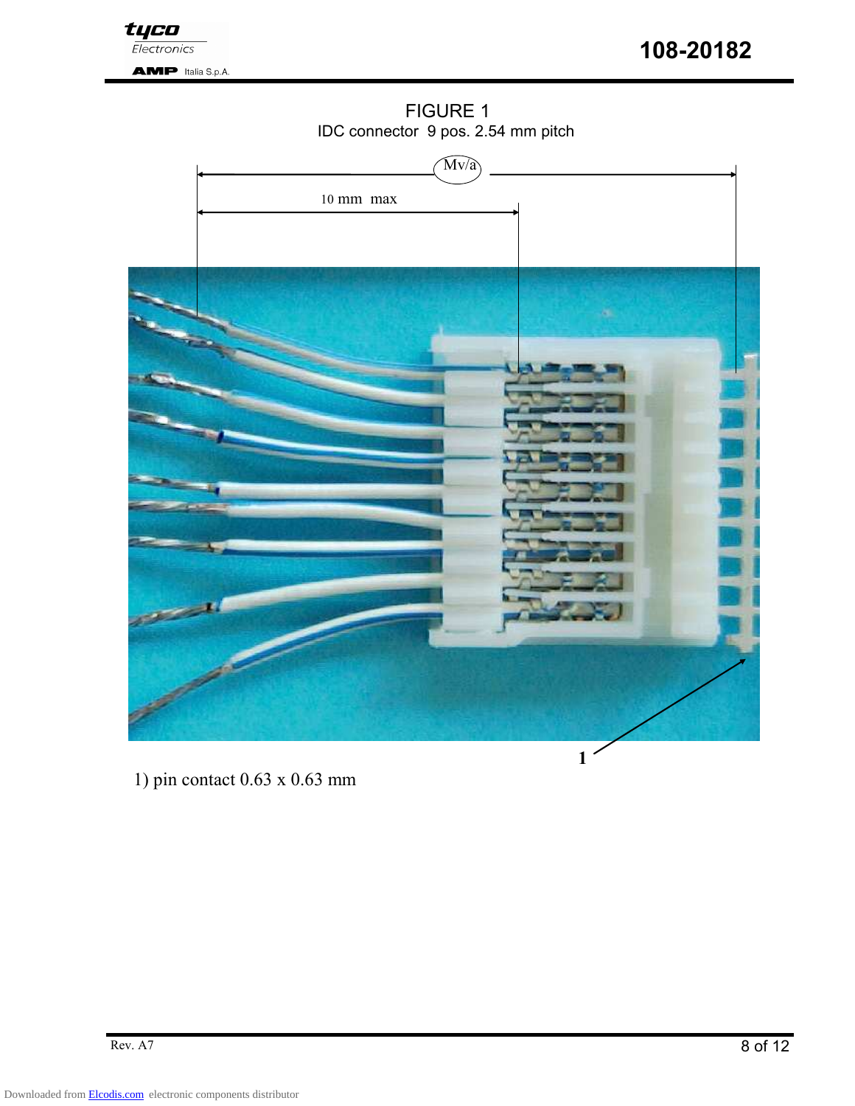

108-20182

**AMP** Italia S.p.A.

### FIGURE 1 IDC connector 9 pos. 2.54 mm pitch



1) pin contact 0.63 x 0.63 mm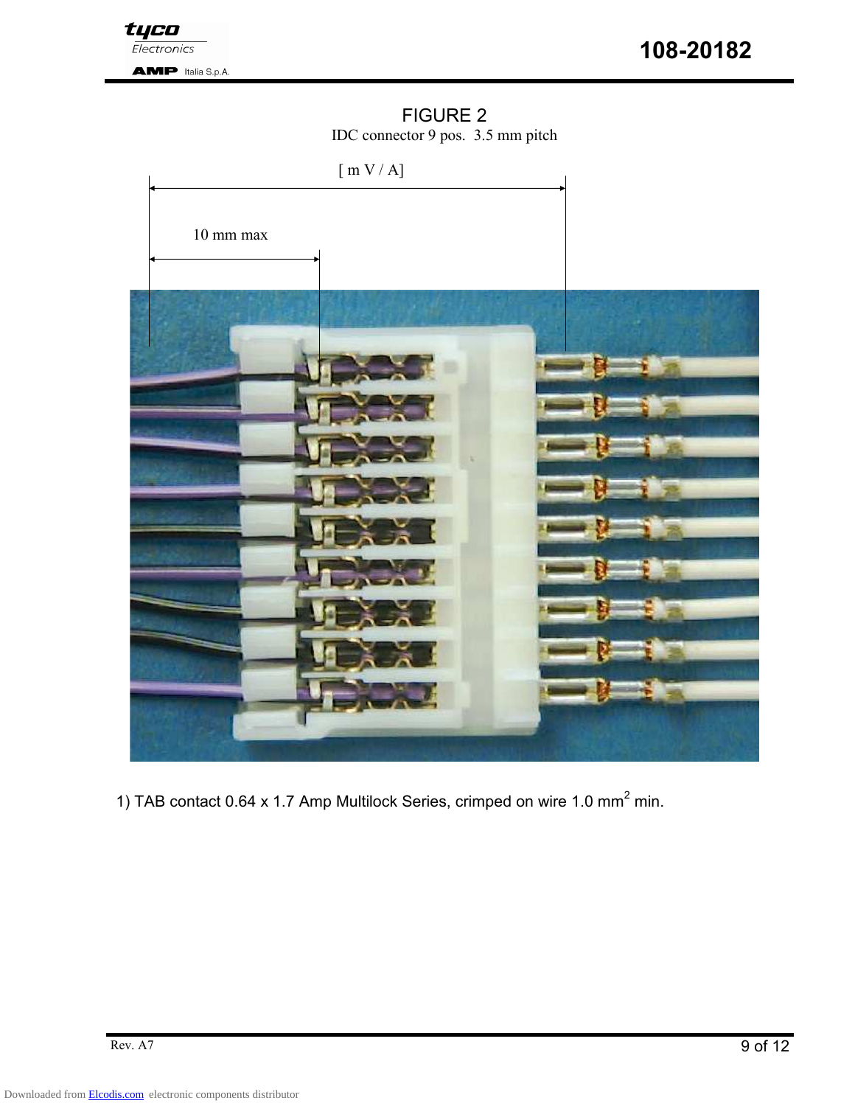

# FIGURE 2

IDC connector 9 pos. 3.5 mm pitch



1) TAB contact 0.64 x 1.7 Amp Multilock Series, crimped on wire 1.0 mm<sup>2</sup> min.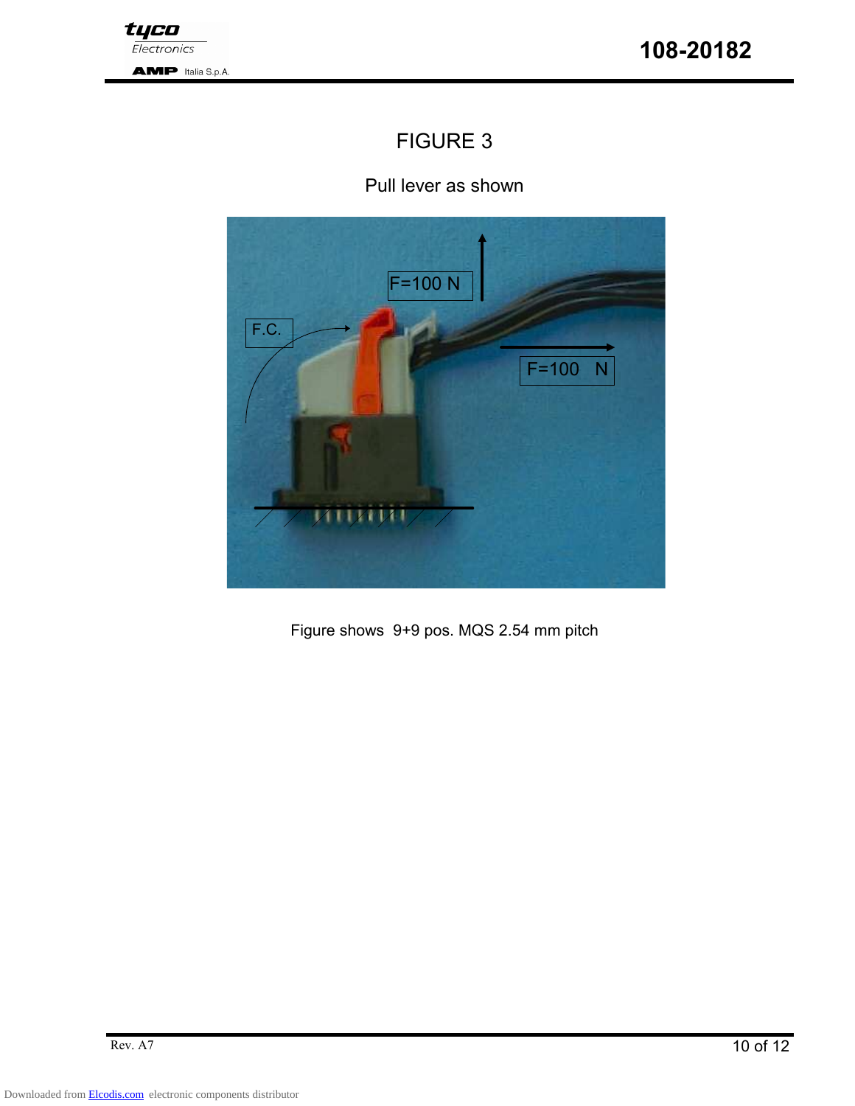## FIGURE 3

Pull lever as shown



Figure shows 9+9 pos. MQS 2.54 mm pitch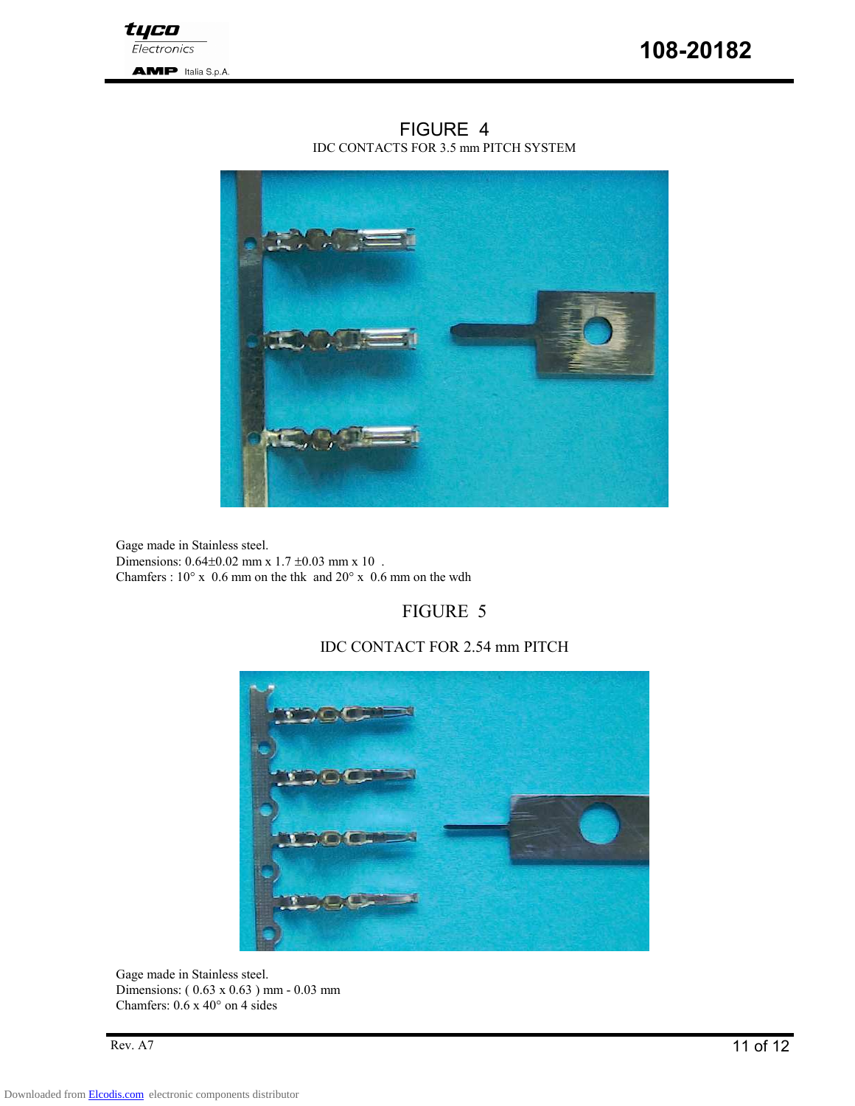

FIGURE 4 IDC CONTACTS FOR 3.5 mm PITCH SYSTEM

Gage made in Stainless steel. Dimensions:  $0.64 \pm 0.02$  mm x  $1.7 \pm 0.03$  mm x  $10$ . Chamfers :  $10^{\circ}$  x 0.6 mm on the thk and  $20^{\circ}$  x 0.6 mm on the wdh

### FIGURE 5

#### IDC CONTACT FOR 2.54 mm PITCH



Gage made in Stainless steel. Dimensions: ( 0.63 x 0.63 ) mm - 0.03 mm Chamfers: 0.6 x 40° on 4 sides